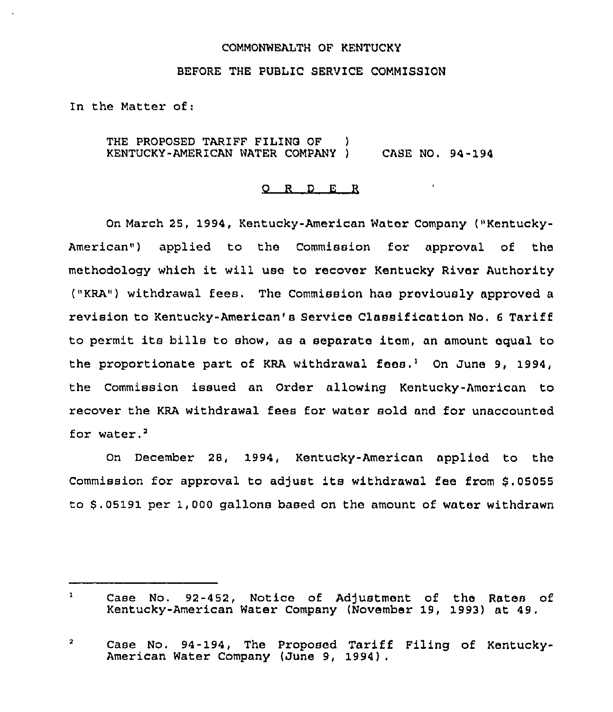## COMMONWEALTH OF KENTUCKY

## BEFORE THE PUBL1C SERVICE COMMISSION

In the Matter of:

THE PROPOSED TARIFF FILING OF ) KENTUCKY-AMERICAN WATER COMPANY ) CASE NO. 94-194

## 0 <sup>R</sup> <sup>D</sup> E <sup>R</sup>

On March 25, 1994, Kentucky-American Water Company ("Kentucky-American") applied to the Commission for approval of the methodology which it will use to recover Kentucky River Authority ("KRA") withdrawal fees. The Commission has previously approved <sup>a</sup> revision to Kentucky-American's Service Classification No. <sup>6</sup> Tariff to permit its bills to show, as <sup>a</sup> separate item, an amount equal to the proportionate part of KRA withdrawal fees.<sup>1</sup> On June 9, 1994, the Commission issued an Order allowing Kentucky-American to recover the KRA withdrawal fees for water sold and for unaccounted for water. $<sup>2</sup>$ </sup>

December 28, 1994, Kentucky-American applied to the Commission for approval to adjust its withdrawal fee from \$.05055 to \$ .05191 per 1,000 gallons based on the amount of water withdrawn

 $\mathbf{1}$ Case No. 92-452, Notice of Adjustment of the Rates of Kentucky-American Water Company (November 19, 1993) at 49.

 $\overline{\mathbf{2}}$ Case No. 94-194, The Proposed Tariff Filing of Kentucky-American Water Company (June 9, 1994) .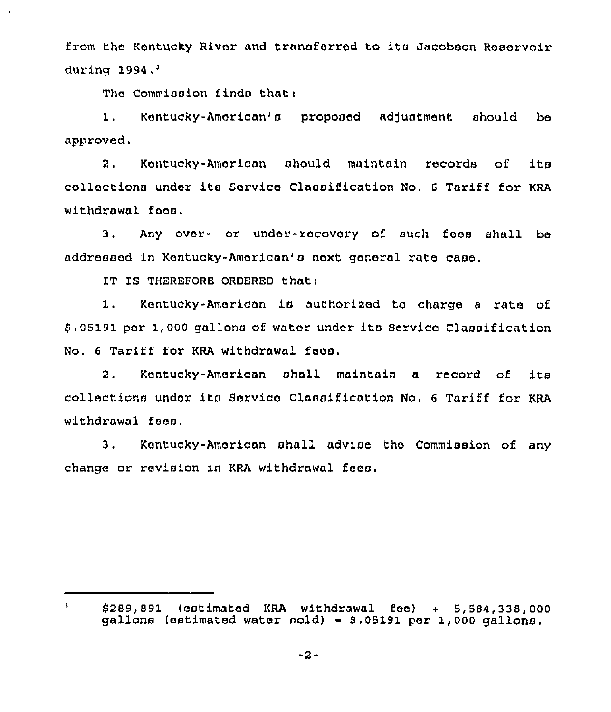from the Kentucky River and transforred to ita Jacobson Reservoir during 1994.'

The Commission finds that:

1. Kentucky-American's proposed adjustment should be approved.

2. Kentucky-American should maintain records of its collections under its Service Classification No. 6 Tariff for KRA withdrawal foos.

3. Any over- or under-recovery of such fees shall be addressed in Kentucky-American'a next general rate case,

IT IS THEREFORE ORDERED thati

 $\mathbf{1}$ 

1. Kentucky-American is authorized to charge <sup>a</sup> rate of \$ .05191 pcr 1,000 gallons of water under ito Servico Classification No. <sup>6</sup> Tariff for KRA withdrawal fees.

2. Kentucky-American shall maintain <sup>a</sup> record of its collections under its Sorvico Classification No. <sup>6</sup> Tariff for KRA withdrawal foes.

3. Kentucky-American shall advise the Commission of any change or revision in KRA withdrawal fees.

<sup>\$</sup> 289,891 (estimated KRA withdrawal fee) <sup>+</sup> 5,584,338,000 gallons (estimated water sold) =  $$.05191$  per 1,000 gallons.